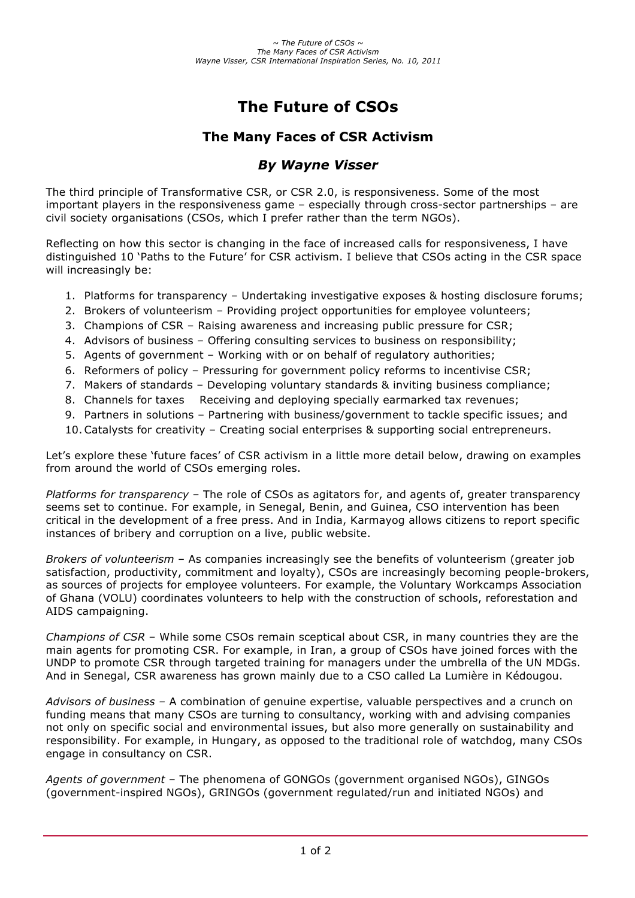# **The Future of CSOs**

## **The Many Faces of CSR Activism**

### *By Wayne Visser*

The third principle of Transformative CSR, or CSR 2.0, is responsiveness. Some of the most important players in the responsiveness game – especially through cross-sector partnerships – are civil society organisations (CSOs, which I prefer rather than the term NGOs).

Reflecting on how this sector is changing in the face of increased calls for responsiveness, I have distinguished 10 'Paths to the Future' for CSR activism. I believe that CSOs acting in the CSR space will increasingly be:

- 1. Platforms for transparency Undertaking investigative exposes & hosting disclosure forums;
- 2. Brokers of volunteerism Providing project opportunities for employee volunteers;
- 3. Champions of CSR Raising awareness and increasing public pressure for CSR;
- 4. Advisors of business Offering consulting services to business on responsibility;
- 5. Agents of government Working with or on behalf of regulatory authorities;
- 6. Reformers of policy Pressuring for government policy reforms to incentivise CSR;
- 7. Makers of standards Developing voluntary standards & inviting business compliance;
- 8. Channels for taxes Receiving and deploying specially earmarked tax revenues;
- 9. Partners in solutions Partnering with business/government to tackle specific issues; and
- 10.Catalysts for creativity Creating social enterprises & supporting social entrepreneurs.

Let's explore these 'future faces' of CSR activism in a little more detail below, drawing on examples from around the world of CSOs emerging roles.

*Platforms for transparency* – The role of CSOs as agitators for, and agents of, greater transparency seems set to continue. For example, in Senegal, Benin, and Guinea, CSO intervention has been critical in the development of a free press. And in India, Karmayog allows citizens to report specific instances of bribery and corruption on a live, public website.

*Brokers of volunteerism* – As companies increasingly see the benefits of volunteerism (greater job satisfaction, productivity, commitment and loyalty), CSOs are increasingly becoming people-brokers, as sources of projects for employee volunteers. For example, the Voluntary Workcamps Association of Ghana (VOLU) coordinates volunteers to help with the construction of schools, reforestation and AIDS campaigning.

*Champions of CSR* – While some CSOs remain sceptical about CSR, in many countries they are the main agents for promoting CSR. For example, in Iran, a group of CSOs have joined forces with the UNDP to promote CSR through targeted training for managers under the umbrella of the UN MDGs. And in Senegal, CSR awareness has grown mainly due to a CSO called La Lumière in Kédougou.

*Advisors of business –* A combination of genuine expertise, valuable perspectives and a crunch on funding means that many CSOs are turning to consultancy, working with and advising companies not only on specific social and environmental issues, but also more generally on sustainability and responsibility. For example, in Hungary, as opposed to the traditional role of watchdog, many CSOs engage in consultancy on CSR.

*Agents of government* – The phenomena of GONGOs (government organised NGOs), GINGOs (government-inspired NGOs), GRINGOs (government regulated/run and initiated NGOs) and